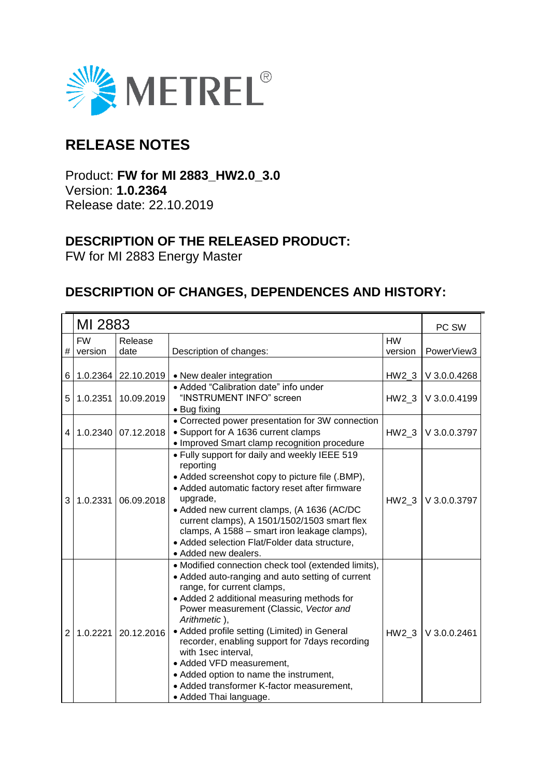

# **RELEASE NOTES**

Product: **FW for MI 2883\_HW2.0\_3.0** Version: **1.0.2364** Release date: 22.10.2019

### **DESCRIPTION OF THE RELEASED PRODUCT:**

FW for MI 2883 Energy Master

## **DESCRIPTION OF CHANGES, DEPENDENCES AND HISTORY:**

|                | MI 2883   |                     |                                                                                                                                                                                                                                                                                                                                                                                                                                                                                                                     |           | PC SW          |
|----------------|-----------|---------------------|---------------------------------------------------------------------------------------------------------------------------------------------------------------------------------------------------------------------------------------------------------------------------------------------------------------------------------------------------------------------------------------------------------------------------------------------------------------------------------------------------------------------|-----------|----------------|
|                | <b>FW</b> | Release             |                                                                                                                                                                                                                                                                                                                                                                                                                                                                                                                     | <b>HW</b> |                |
| #              | version   | date                | Description of changes:                                                                                                                                                                                                                                                                                                                                                                                                                                                                                             | version   | PowerView3     |
| 6              |           | 1.0.2364 22.10.2019 | • New dealer integration                                                                                                                                                                                                                                                                                                                                                                                                                                                                                            | H W2 3    | V 3.0.0.4268   |
| 5              | 1.0.2351  | 10.09.2019          | • Added "Calibration date" info under<br>"INSTRUMENT INFO" screen<br>• Bug fixing                                                                                                                                                                                                                                                                                                                                                                                                                                   | HW2 3     | V 3.0.0.4199   |
| 4              | 1.0.2340  | 07.12.2018          | • Corrected power presentation for 3W connection<br>• Support for A 1636 current clamps<br>• Improved Smart clamp recognition procedure                                                                                                                                                                                                                                                                                                                                                                             | HW2 3     | V 3.0.0.3797   |
| 3              | 1.0.2331  | 06.09.2018          | . Fully support for daily and weekly IEEE 519<br>reporting<br>• Added screenshot copy to picture file (.BMP),<br>• Added automatic factory reset after firmware<br>upgrade,<br>• Added new current clamps, (A 1636 (AC/DC<br>current clamps), A 1501/1502/1503 smart flex<br>clamps, A 1588 - smart iron leakage clamps),<br>• Added selection Flat/Folder data structure,<br>• Added new dealers.                                                                                                                  | HW2 3     | V 3.0.0.3797   |
| $\overline{2}$ | 1.0.2221  | 20.12.2016          | • Modified connection check tool (extended limits),<br>• Added auto-ranging and auto setting of current<br>range, for current clamps,<br>• Added 2 additional measuring methods for<br>Power measurement (Classic, Vector and<br>Arithmetic),<br>• Added profile setting (Limited) in General<br>recorder, enabling support for 7days recording<br>with 1sec interval,<br>• Added VFD measurement,<br>• Added option to name the instrument,<br>• Added transformer K-factor measurement,<br>• Added Thai language. | $HW2_3$   | $V$ 3.0.0.2461 |